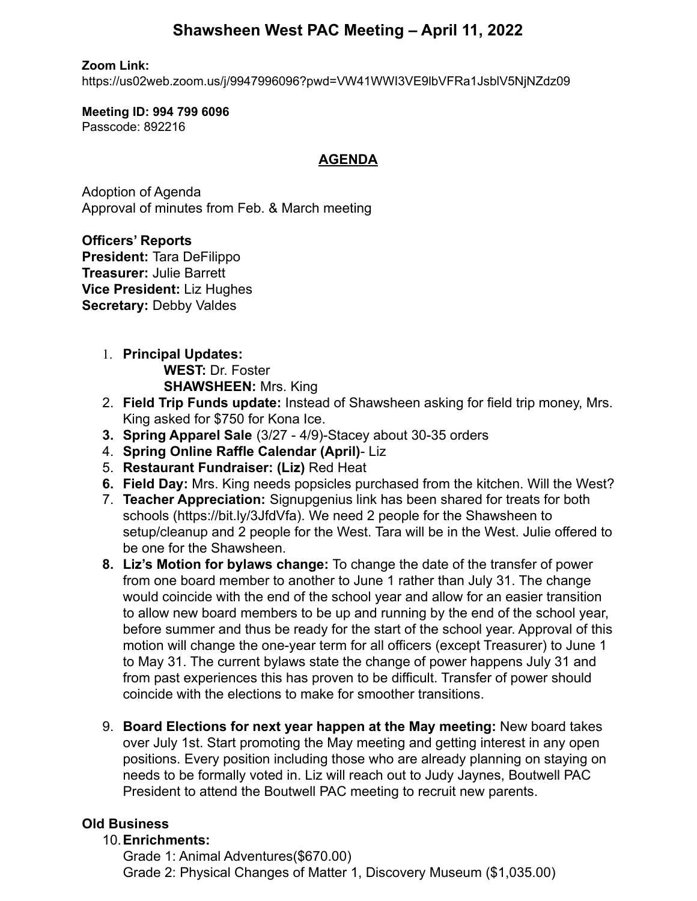# **Shawsheen West PAC Meeting – April 11, 2022**

#### **Zoom Link:**

https://us02web.zoom.us/j/9947996096?pwd=VW41WWI3VE9lbVFRa1JsblV5NjNZdz09

#### **Meeting ID: 994 799 6096** Passcode: 892216

### **AGENDA**

Adoption of Agenda Approval of minutes from Feb. & March meeting

**Officers' Reports President:** Tara DeFilippo **Treasurer:** Julie Barrett **Vice President:** Liz Hughes **Secretary:** Debby Valdes

- 1. **Principal Updates: WEST:** Dr. Foster **SHAWSHEEN:** Mrs. King
- 2. **Field Trip Funds update:** Instead of Shawsheen asking for field trip money, Mrs. King asked for \$750 for Kona Ice.
- **3. Spring Apparel Sale** (3/27 4/9)-Stacey about 30-35 orders
- 4. **Spring Online Raffle Calendar (April)** Liz
- 5. **Restaurant Fundraiser: (Liz)** Red Heat
- **6. Field Day:** Mrs. King needs popsicles purchased from the kitchen. Will the West?
- 7. **Teacher Appreciation:** Signupgenius link has been shared for treats for both schools (https://bit.ly/3JfdVfa). We need 2 people for the Shawsheen to setup/cleanup and 2 people for the West. Tara will be in the West. Julie offered to be one for the Shawsheen.
- **8. Liz's Motion for bylaws change:** To change the date of the transfer of power from one board member to another to June 1 rather than July 31. The change would coincide with the end of the school year and allow for an easier transition to allow new board members to be up and running by the end of the school year, before summer and thus be ready for the start of the school year. Approval of this motion will change the one-year term for all officers (except Treasurer) to June 1 to May 31. The current bylaws state the change of power happens July 31 and from past experiences this has proven to be difficult. Transfer of power should coincide with the elections to make for smoother transitions.
- 9. **Board Elections for next year happen at the May meeting:** New board takes over July 1st. Start promoting the May meeting and getting interest in any open positions. Every position including those who are already planning on staying on needs to be formally voted in. Liz will reach out to Judy Jaynes, Boutwell PAC President to attend the Boutwell PAC meeting to recruit new parents.

## **Old Business**

### 10.**Enrichments:**

Grade 1: Animal Adventures(\$670.00) Grade 2: Physical Changes of Matter 1, Discovery Museum (\$1,035.00)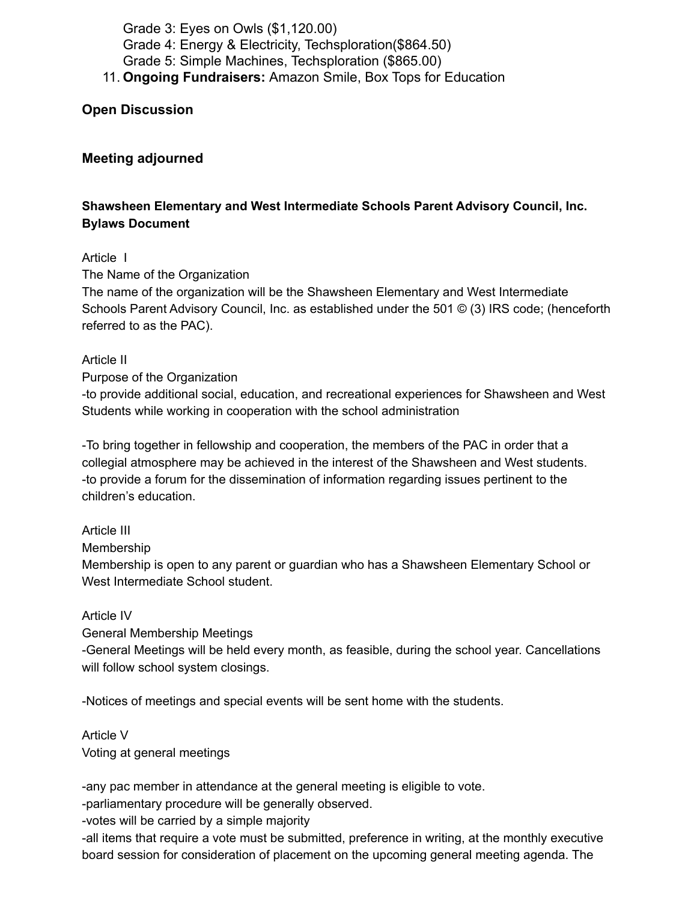Grade 3: Eyes on Owls (\$1,120.00) Grade 4: Energy & Electricity, Techsploration(\$864.50) Grade 5: Simple Machines, Techsploration (\$865.00) 11. **Ongoing Fundraisers:** Amazon Smile, Box Tops for Education

**Open Discussion**

#### **Meeting adjourned**

#### **Shawsheen Elementary and West Intermediate Schools Parent Advisory Council, Inc. Bylaws Document**

#### Article I

The Name of the Organization

The name of the organization will be the Shawsheen Elementary and West Intermediate Schools Parent Advisory Council, Inc. as established under the 501 © (3) IRS code; (henceforth referred to as the PAC).

#### Article II

#### Purpose of the Organization

-to provide additional social, education, and recreational experiences for Shawsheen and West Students while working in cooperation with the school administration

-To bring together in fellowship and cooperation, the members of the PAC in order that a collegial atmosphere may be achieved in the interest of the Shawsheen and West students. -to provide a forum for the dissemination of information regarding issues pertinent to the children's education.

#### Article III

Membership

Membership is open to any parent or guardian who has a Shawsheen Elementary School or West Intermediate School student.

#### Article IV

General Membership Meetings

-General Meetings will be held every month, as feasible, during the school year. Cancellations will follow school system closings.

-Notices of meetings and special events will be sent home with the students.

Article V Voting at general meetings

-any pac member in attendance at the general meeting is eligible to vote.

-parliamentary procedure will be generally observed.

-votes will be carried by a simple majority

-all items that require a vote must be submitted, preference in writing, at the monthly executive board session for consideration of placement on the upcoming general meeting agenda. The